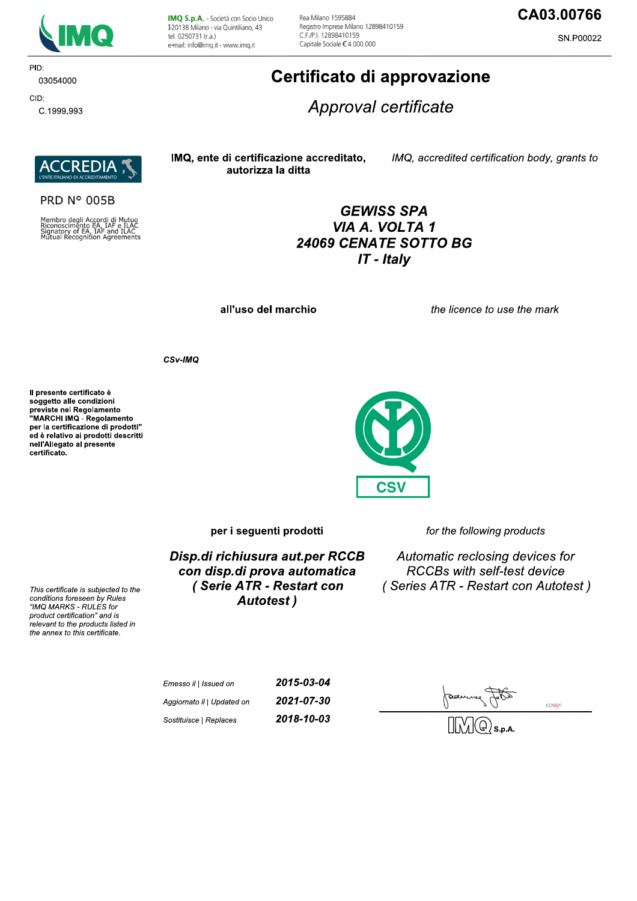

PID:

CID:

03054000

C.1999.993

IMQ S.p.A. - Società con Socio Unico I 20138 Milano - via Quintiliano, 43 tel. 0250731 (r.a.) e-mail: info@imq.it - www.imq.it

Rea Milano 1595884 Registro Imprese Milano 12898410159 C F /P | 12898410159 Capitale Sociale €4.000.000

## CA03.00766

SN.P00022

# Certificato di approvazione

Approval certificate

**REDI** 

**PRD N° 005B** 

Membro degli Accordi di Mutuo<br>Riconoscimento EA, IAF e ILAC<br>Signatory of EA, IAF and ILAC<br>Mutual Recognition Agreements

IMQ, ente di certificazione accreditato, autorizza la ditta

IMQ, accredited certification body, grants to

## **GEWISS SPA** VIA A. VOLTA 1 24069 CENATE SOTTO BG  $IT$  - Italy

**CSV** 

all'uso del marchio

the licence to use the mark

CSv-IMQ

Il presente certificato è soggetto alle condizioni Soggetto and containmento<br>previste nel Regolamento<br>"MARCHI IMQ - Regolamento per la certificazione di prodotti" ed è relativo ai prodotti descritti nell'Allegato al presente certificato.

This certificate is subjected to the conditions foreseen by Rules

"IMQ MARKS - RULES for product certification" and is relevant to the products listed in the annex to this certificate.



for the following products

Disp.di richiusura aut.per RCCB con disp.di prova automatica (Serie ATR - Restart con **Autotest**)

Automatic reclosing devices for **RCCBs with self-test device** (Series ATR - Restart con Autotest)

| Emesso il   Issued on      | 2015-03-04 |
|----------------------------|------------|
| Aggiornato il   Updated on | 2021-07-30 |
| Sostituisce   Replaces     | 2018-10-03 |

cosign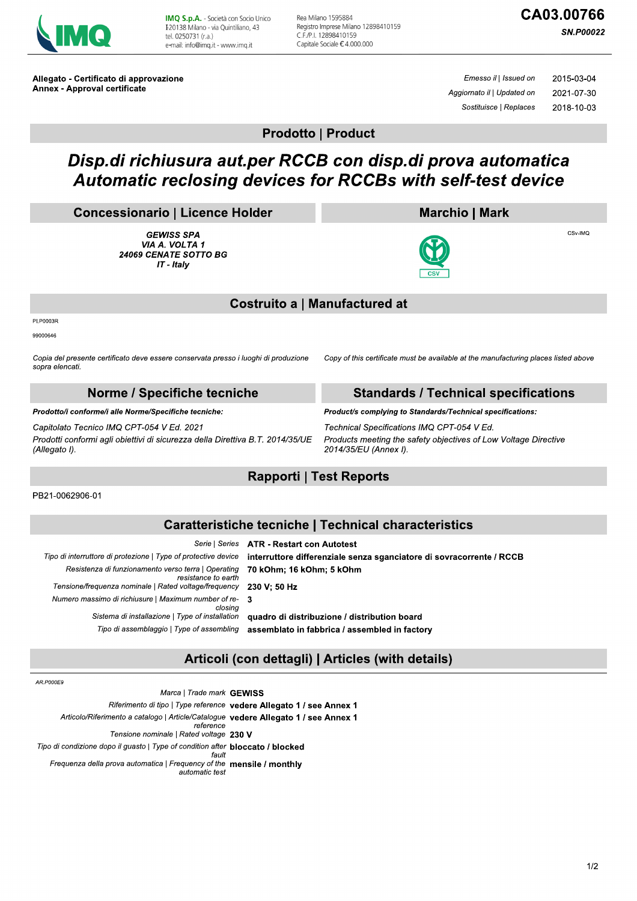

IMQ S.p.A. - Società con Socio Unico I 20138 Milano - via Quintiliano, 43 tel. 0250731 (r.a.) e-mail: info@img.it - www.img.it

Rea Milano 1595884 Registro Imprese Milano 12898410159 C F /P | 12898410159 Capitale Sociale €4.000.000

# CA03.00766

**SN.P00022** 

Allegato - Certificato di approvazione **Annex - Approval certificate** 

Emesso il | Issued on 2015-03-04 Aggiornato il | Updated on 2021-07-30 Sostituisce | Replaces 2018-10-03

**Prodotto | Product** 

# Disp.di richiusura aut.per RCCB con disp.di prova automatica Automatic reclosing devices for RCCBs with self-test device

#### **Concessionario | Licence Holder**

**GEWISS SPA** VIA A. VOLTA 1 24069 CENATE SOTTO BG IT - Italy

#### **Marchio | Mark**



CS<sub>V-IMO</sub>



#### **Costruito a | Manufactured at**

PI.P0003R

99000646

Copia del presente certificato deve essere conservata presso i luoghi di produzione sopra elencati.

#### Norme / Specifiche tecniche

Prodotto/i conforme/i alle Norme/Specifiche tecniche:

Capitolato Tecnico IMQ CPT-054 V Ed. 2021

Prodotti conformi agli obiettivi di sicurezza della Direttiva B.T. 2014/35/UE (Allegato I).

**Standards / Technical specifications** 

Copy of this certificate must be available at the manufacturing places listed above

Product/s complying to Standards/Technical specifications: Technical Specifications IMQ CPT-054 V Ed. Products meeting the safety objectives of Low Voltage Directive 2014/35/EU (Annex I).

### **Rapporti | Test Reports**

PB21-0062906-01

### **Caratteristiche tecniche | Technical characteristics**

|                                                                            | Serie   Series ATR - Restart con Autotest                            |
|----------------------------------------------------------------------------|----------------------------------------------------------------------|
| oo di interruttore di protezione   Type of protective device               | interruttore differenziale senza sganciatore di sovracorrente / RCCB |
| Resistenza di funzionamento verso terra   Operating<br>resistance to earth | 70 kOhm; 16 kOhm; 5 kOhm                                             |
| Tensione/frequenza nominale   Rated voltage/frequency 230 V: 50 Hz         |                                                                      |
| Numero massimo di richiusure   Maximum number of re- 3<br>closina          |                                                                      |
| Sistema di installazione   Type of installation                            | quadro di distribuzione / distribution board                         |
| Tipo di assemblaggio   Type of assembling                                  | assemblato in fabbrica / assembled in factory                        |
|                                                                            |                                                                      |

### Articoli (con dettagli) | Articles (with details)

AR.P000E9

Tipo

 $\overline{M}$ 

Marca | Trade mark GEWISS Riferimento di tipo | Type reference vedere Allegato 1 / see Annex 1 Articolo/Riferimento a catalogo | Article/Catalogue vedere Allegato 1 / see Annex 1 reference Tensione nominale | Rated voltage 230 V Tipo di condizione dopo il guasto | Type of condition after bloccato / blocked fault Frequenza della prova automatica | Frequency of the mensile / monthly automatic test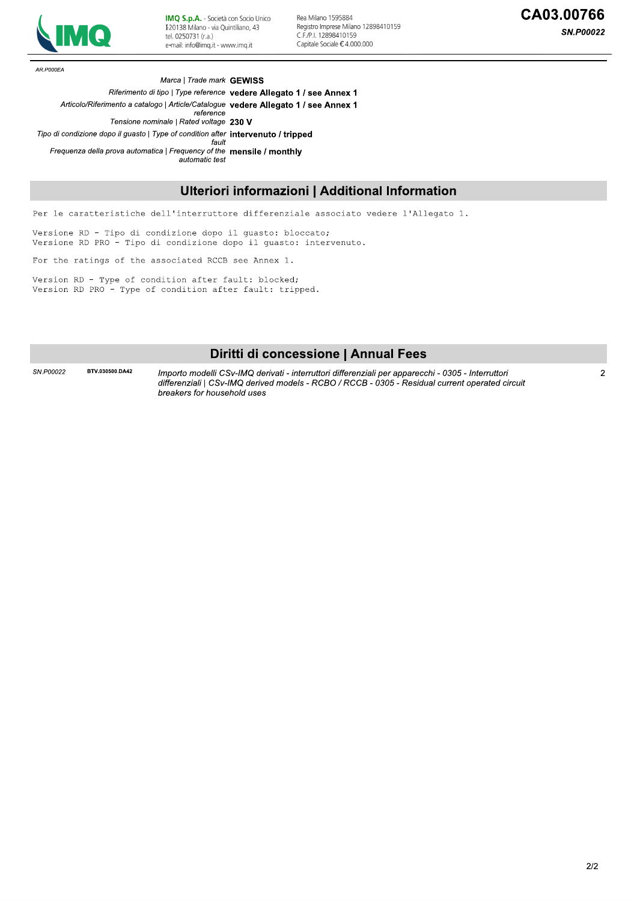

IMQ S.p.A. - Società con Socio Unico I 20138 Milano - via Quintiliano, 43 tel. 0250731 (r.a.) e-mail: info@imq.it - www.imq.it

Rea Milano 1595884 Registro Imprese Milano 12898410159 C.F./P.I. 12898410159 Capitale Sociale €4.000.000

**SN.P00022** 

AR.P000EA

Marca | Trade mark GEWISS

The discondizione dopo il guasto | Type of condition after **intervenuto** / **tripped**<br>
Frequenza della prova automatica | Frequency d'the **mensile / monthly**<br> **Ulteriori informazioni | Additional Information**<br>
Per le caratt Riferimento di tipo | Type reference vedere Allegato 1 / see Annex 1 Articolo/Riferimento a catalogo | Article/Catalogue vedere Allegato 1 / see Annex 1 reference Tensione nominale | Rated voltage  $230$  V  $\frac{D}{D}$  an condizione dopo il guasto | Type of condition after **intervenuto / tripped**<br>fault Frequenza della prova automatica | Frequency of the **mensile / monthly** automatic test

## Ulteriori informazioni | Additional informatic

Per le caratteristiche dell'interruttore differenziale associato vedere<br>Versione RD - Tipo di condizione dopo il guasto: bloccato;<br>Versione RD PRO - Tipo di condizione dopo il guasto: intervenuto.<br>For the ratings of the as

## Diritti di concessione | Annual Fees

SN.P00022 BTV.030500.DA42 Importo modelli CSv-IMQ derivati - interruttori differenziali per apparecchi - 0305 - Interruttori aifferenziaii | CSV-iMQ derived models - RCBO / RCCB - 0305 - Residual current operated circuit importo modelli CSV-IMQ derivati - interruttori differenziali per appareccni - 0305 - interruttori<br>differenziali | CSv-IMQ derived models - RCBO / RCCB - 0305 - Residual current operated circuit<br>breakers for household uses